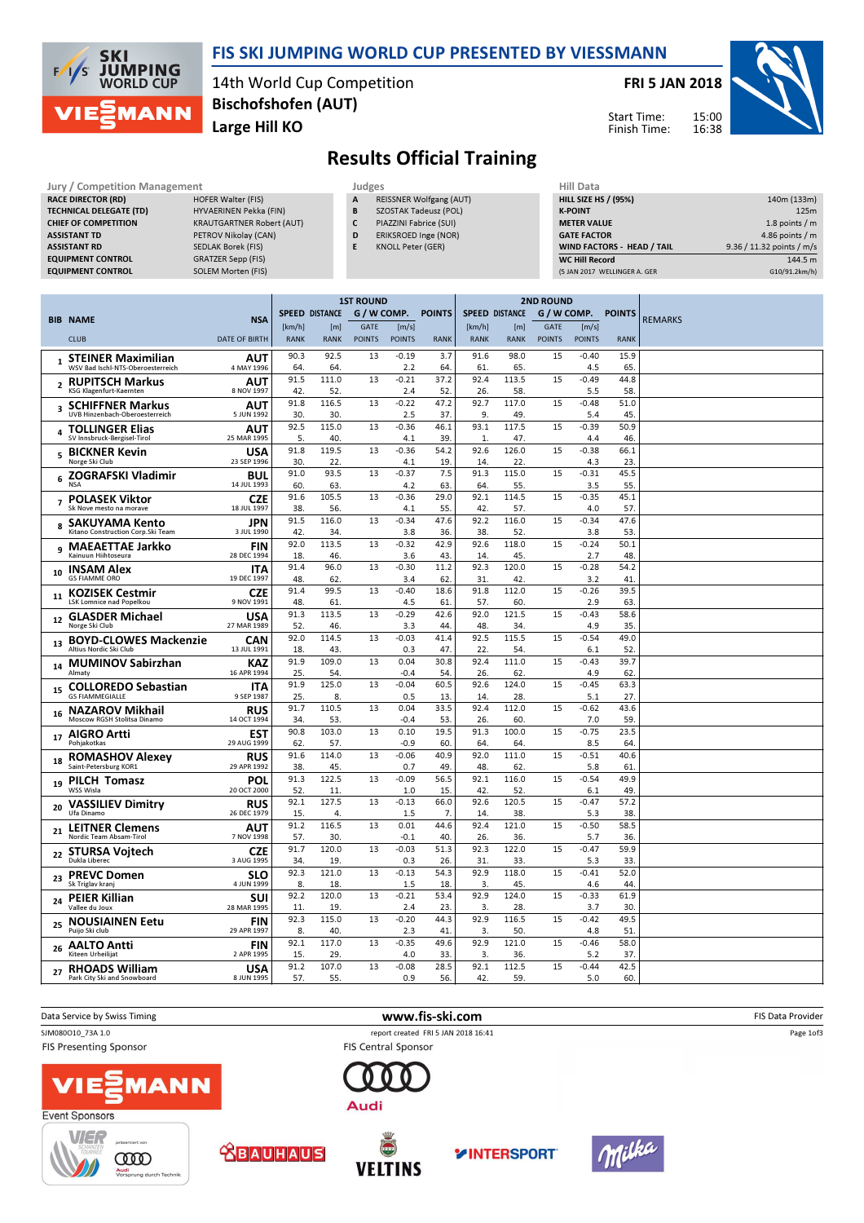

### FIS SKI JUMPING WORLD CUP PRESENTED BY VIESSMANN

14th World Cup Competition Large Hill KO Bischofshofen (AUT)

FRI 5 JAN 2018



Start Time: Finish Time:

## Results Official Training

|                         | <b>Jury / Competition Management</b>                                                                                                                                                             |                                                                                                                                                                                                 | Judges                |                                             |                                                  |                                                       |                                                                                                           |                                              |                                 |  |
|-------------------------|--------------------------------------------------------------------------------------------------------------------------------------------------------------------------------------------------|-------------------------------------------------------------------------------------------------------------------------------------------------------------------------------------------------|-----------------------|---------------------------------------------|--------------------------------------------------|-------------------------------------------------------|-----------------------------------------------------------------------------------------------------------|----------------------------------------------|---------------------------------|--|
|                         | <b>RACE DIRECTOR (RD)</b><br><b>TECHNICAL DELEGATE (TD)</b><br><b>CHIEF OF COMPETITION</b><br><b>ASSISTANT TD</b><br><b>ASSISTANT RD</b><br><b>EQUIPMENT CONTROL</b><br><b>EQUIPMENT CONTROL</b> | <b>HOFER Walter (FIS)</b><br>HYVAERINEN Pekka (FIN)<br><b>KRAUTGARTNER Robert (AUT)</b><br>PETROV Nikolay (CAN)<br><b>SEDLAK Borek (FIS)</b><br><b>GRATZER Sepp (FIS)</b><br>SOLEM Morten (FIS) |                       |                                             | A<br>B<br>C<br>D<br>E                            | <b>KNOLL Peter (GER)</b>                              | <b>REISSNER Wolfgang (AUT)</b><br>SZOSTAK Tadeusz (POL)<br>PIAZZINI Fabrice (SUI)<br>ERIKSROED Inge (NOR) |                                              |                                 |  |
|                         | <b>BIB NAME</b><br><b>CLUB</b>                                                                                                                                                                   | <b>NSA</b><br><b>DATE OF BIRTH</b>                                                                                                                                                              | [km/h]<br><b>RANK</b> | <b>SPEED DISTANCE</b><br>[m]<br><b>RANK</b> | <b>1ST ROUND</b><br><b>GATE</b><br><b>POINTS</b> | G / W COMP.<br>$\lfloor m/s \rfloor$<br><b>POINTS</b> | <b>POINTS</b><br><b>RANK</b>                                                                              | <b>SPEED DISTAN</b><br>[km/h]<br><b>RANK</b> | <b>RA</b>                       |  |
| $\mathbf{1}$            | <b>STEINER Maximilian</b><br>WSV Bad Ischl-NTS-Oberoesterreich                                                                                                                                   | <b>AUT</b><br>4 MAY 1996                                                                                                                                                                        | 90.3<br>64.           | 92.5<br>64.                                 | 13                                               | $-0.19$<br>2.2                                        | 3.7<br>64.                                                                                                | 91.6<br>61.                                  | 98<br>Е                         |  |
| $\mathbf{r}$            | <b>RUPITSCH Markus</b><br>KSG Klagenfurt-Kaernten                                                                                                                                                | <b>AUT</b><br>8 NOV 1997                                                                                                                                                                        | 91.5<br>42.           | 111.0<br>52.                                | 13                                               | $-0.21$<br>2.4                                        | 37.2<br>52.                                                                                               | 92.4<br>26.                                  | 113                             |  |
| $\overline{\mathbf{a}}$ | <b>SCHIFFNER Markus</b><br><b>IIVR Hinzanhach-Oharnactarraich</b>                                                                                                                                | <b>AUT</b><br>5 IIIN 1992                                                                                                                                                                       | 91.8<br>20            | 116.5<br>20                                 | 13                                               | $-0.22$<br>っこ                                         | 47.2<br>27                                                                                                | 92.7<br>$\Omega$                             | 117<br>$\overline{\phantom{a}}$ |  |

| Hill Data                    |                           |
|------------------------------|---------------------------|
| <b>HILL SIZE HS / (95%)</b>  | 140m (133m)               |
| <b>K-POINT</b>               | 125m                      |
| <b>METER VALUE</b>           | 1.8 points $/m$           |
| <b>GATE FACTOR</b>           | 4.86 points $/m$          |
| WIND FACTORS - HEAD / TAIL   | 9.36 / 11.32 points / m/s |
| <b>WC Hill Record</b>        | 144.5 m                   |
| (5 JAN 2017 WELLINGER A. GER | G10/91.2km/h)             |

|                                                                                |                           | <b>1ST ROUND</b>      |              |               |                   |               | <b>2ND ROUND</b>      |              |               |                |               |                |
|--------------------------------------------------------------------------------|---------------------------|-----------------------|--------------|---------------|-------------------|---------------|-----------------------|--------------|---------------|----------------|---------------|----------------|
| <b>BIB NAME</b>                                                                | <b>NSA</b>                | <b>SPEED DISTANCE</b> |              | G / W COMP.   |                   | <b>POINTS</b> | <b>SPEED DISTANCE</b> |              | G / W COMP.   |                | <b>POINTS</b> | <b>REMARKS</b> |
|                                                                                |                           | [km/h]                | [m]          | GATE          | [m/s]             |               | [km/h]                | [m]          | GATE          | [m/s]          |               |                |
| <b>CLUB</b>                                                                    | <b>DATE OF BIRTH</b>      | <b>RANK</b>           | <b>RANK</b>  | <b>POINTS</b> | <b>POINTS</b>     | <b>RANK</b>   | <b>RANK</b>           | <b>RANK</b>  | <b>POINTS</b> | <b>POINTS</b>  | <b>RANK</b>   |                |
| <b>STEINER Maximilian</b><br>$\mathbf{1}$<br>WSV Bad Ischl-NTS-Oberoesterreich | AUT<br>4 MAY 1996         | 90.3<br>64            | 92.5<br>64   | 13            | $-0.19$<br>2.2    | 3.7<br>64     | 91.6<br>61            | 98.0<br>65.  | 15            | $-0.40$<br>4.5 | 15.9<br>65    |                |
| <b>RUPITSCH Markus</b><br>$\overline{2}$<br>KSG Klagenfurt-Kaernten            | AUT<br>8 NOV 1997         | 91.5<br>42.           | 111.0<br>52. | 13            | $-0.21$<br>2.4    | 37.2<br>52    | 92.4<br>26.           | 113.5<br>58. | 15            | $-0.49$<br>5.5 | 44.8<br>58.   |                |
| <b>SCHIFFNER Markus</b><br>3<br>UVB Hinzenbach-Oberoesterreich                 | AUT<br>5 JUN 1992         | 91.8<br>30            | 116.5<br>30. | 13            | $-0.22$<br>2.5    | 47.2<br>37    | 92.7<br>9.            | 117.0<br>49. | 15            | $-0.48$<br>5.4 | 51.0<br>45.   |                |
| <b>TOLLINGER Elias</b><br>SV Innsbruck-Bergisel-Tirol                          | AUT<br>25 MAR 1995        | 92.5<br>5.            | 115.0<br>40. | 13            | $-0.36$<br>4.1    | 46.1<br>39.   | 93.1<br>$\mathbf{1}$  | 117.5<br>47. | 15            | $-0.39$<br>4.4 | 50.9<br>46.   |                |
| <b>BICKNER Kevin</b><br>5<br>Norge Ski Club                                    | <b>USA</b><br>23 SEP 1996 | 91.8<br>30            | 119.5<br>22. | 13            | $-0.36$<br>4.1    | 54.2<br>19    | 92.6<br>14.           | 126.0<br>22. | 15            | $-0.38$<br>4.3 | 66.1<br>23    |                |
| ZOGRAFSKI Vladimir<br>6<br><b>NSA</b>                                          | <b>BUL</b><br>14 JUL 1993 | 91.0<br>60.           | 93.5<br>63.  | 13            | $-0.37$<br>4.2    | 7.5<br>63     | 91.3<br>64.           | 115.0<br>55. | 15            | $-0.31$<br>3.5 | 45.5<br>55    |                |
| <b>POLASEK Viktor</b><br>$\overline{ }$                                        | <b>CZE</b>                | 91.6                  | 105.5        | 13            | $-0.36$           | 29.0          | 92.1                  | 114.5        | 15            | $-0.35$        | 45.1          |                |
| Sk Nove mesto na morave<br><b>SAKUYAMA Kento</b>                               | 18 JUL 1997<br>JPN        | 38<br>91.5            | 56.<br>116.0 | 13            | 4.1<br>$-0.34$    | 55<br>47.6    | 42.<br>92.2           | 57.<br>116.0 | 15            | 4.0<br>$-0.34$ | 57.<br>47.6   |                |
| Kitano Construction Corp.Ski Team                                              | 3 JUL 1990                | 42.<br>92.0           | 34.<br>113.5 | 13            | 3.8<br>$-0.32$    | 36.<br>42.9   | 38.<br>92.6           | 52.<br>118.0 | 15            | 3.8<br>$-0.24$ | 53.<br>50.1   |                |
| <b>MAEAETTAE Jarkko</b><br>9<br>Kainuun Hiihtoseura                            | <b>FIN</b><br>28 DEC 1994 | 18                    | 46.          |               | 3.6               | 43            | 14.                   | 45.          |               | 2.7            | 48.           |                |
| <b>INSAM Alex</b><br>10<br><b>GS FIAMME ORO</b>                                | <b>ITA</b><br>19 DEC 1997 | 91.4<br>48            | 96.0<br>62.  | 13            | $-0.30$<br>3.4    | 11.2<br>62    | 92.3<br>31            | 120.0<br>42. | 15            | $-0.28$<br>3.2 | 54.2<br>41    |                |
| <b>KOZISEK Cestmir</b><br>11<br>LSK Lomnice nad Popelkou                       | <b>CZE</b><br>9 NOV 1991  | 91.4<br>48            | 99.5<br>61   | 13            | $-0.40$<br>4.5    | 18.6<br>61    | 91.8<br>57.           | 112.0<br>60. | 15            | $-0.26$<br>2.9 | 39.5<br>63    |                |
| <b>GLASDER Michael</b><br>12<br>Norge Ski Club                                 | <b>USA</b><br>27 MAR 1989 | 91.3<br>52.           | 113.5<br>46. | 13            | $-0.29$<br>3.3    | 42.6<br>44    | 92.0<br>48.           | 121.5<br>34. | 15            | $-0.43$<br>4.9 | 58.6<br>35    |                |
| <b>BOYD-CLOWES Mackenzie</b><br>13<br>Altius Nordic Ski Club                   | <b>CAN</b><br>13 JUL 1991 | 92.0<br>18.           | 114.5<br>43. | 13            | $-0.03$<br>0.3    | 41.4<br>47.   | 92.5<br>22.           | 115.5<br>54. | 15            | $-0.54$<br>6.1 | 49.0<br>52.   |                |
| <b>MUMINOV Sabirzhan</b><br>14                                                 | <b>KAZ</b>                | 91.9                  | 109.0        | 13            | 0.04              | 30.8          | 92.4                  | 111.0        | 15            | $-0.43$        | 39.7          |                |
| Almaty<br><b>COLLOREDO Sebastian</b><br>15                                     | 16 APR 1994<br><b>ITA</b> | 25.<br>91.9           | 54.<br>125.0 | 13            | $-0.4$<br>$-0.04$ | 54<br>60.5    | 26.<br>92.6           | 62.<br>124.0 | 15            | 4.9<br>$-0.45$ | 62<br>63.3    |                |
| <b>GS FIAMMEGIALLE</b><br><b>NAZAROV Mikhail</b>                               | 9 SEP 1987<br><b>RUS</b>  | 25.<br>91.7           | 8.<br>110.5  | 13            | 0.5<br>0.04       | 13<br>33.5    | 14.<br>92.4           | 28.<br>112.0 | 15            | 5.1<br>$-0.62$ | 27.<br>43.6   |                |
| 16<br>Moscow RGSH Stolitsa Dinamo                                              | 14 OCT 1994               | 34                    | 53.          |               | $-0.4$            | 53            | 26.                   | 60.          |               | 7.0            | 59.           |                |
| <b>AIGRO Artti</b><br>17<br>Pohjakotkas                                        | <b>EST</b><br>29 AUG 1999 | 90.8<br>62.           | 103.0<br>57. | 13            | 0.10<br>$-0.9$    | 19.5<br>60    | 91.3<br>64.           | 100.0<br>64. | 15            | $-0.75$<br>8.5 | 23.5<br>64    |                |
| <b>ROMASHOV Alexev</b><br>18                                                   | <b>RUS</b>                | 91.6                  | 114.0        | 13            | $-0.06$           | 40.9          | 92.0                  | 111.0        | 15            | $-0.51$        | 40.6          |                |
| Saint-Petersburg KOR1                                                          | 29 APR 1992<br>POL        | 38.<br>91.3           | 45.<br>122.5 | 13            | 0.7<br>$-0.09$    | 49<br>56.5    | 48.<br>92.1           | 62.<br>116.0 | 15            | 5.8<br>$-0.54$ | 61<br>49.9    |                |
| <b>PILCH Tomasz</b><br>19<br><b>WSS Wisla</b>                                  | 20 OCT 2000               | 52                    | 11           |               | 1.0               | 15            | 42.                   | 52.          |               | 6.1            | 49.           |                |
| <b>VASSILIEV Dimitry</b><br>20<br>Ufa Dinamo                                   | <b>RUS</b><br>26 DEC 1979 | 92.1<br>15.           | 127.5<br>4.  | 13            | $-0.13$<br>1.5    | 66.0<br>7.    | 92.6<br>14.           | 120.5<br>38. | 15            | $-0.47$<br>5.3 | 57.2<br>38    |                |
| <b>LEITNER Clemens</b><br>21<br>Nordic Team Absam-Tirol                        | <b>AUT</b><br>7 NOV 1998  | 91.2<br>57.           | 116.5<br>30  | 13            | 0.01<br>$-0.1$    | 44.6<br>40.   | 92.4<br>26.           | 121.0<br>36. | 15            | $-0.50$<br>5.7 | 58.5<br>36.   |                |
| <b>STURSA Vojtech</b><br>22<br>Dukla Liberec                                   | <b>CZE</b><br>3 AUG 1995  | 91.7<br>34            | 120.0<br>19  | 13            | $-0.03$<br>0.3    | 51.3<br>26    | 92.3<br>31            | 122.0<br>33. | 15            | $-0.47$<br>5.3 | 59.9<br>33.   |                |
| <b>PREVC Domen</b><br>23<br>Sk Triglav kranj                                   | <b>SLO</b><br>4 JUN 1999  | 92.3<br>8.            | 121.0<br>18. | 13            | $-0.13$<br>1.5    | 54.3<br>18.   | 92.9<br>3.            | 118.0<br>45. | 15            | $-0.41$<br>4.6 | 52.0<br>44    |                |
| <b>PEIER Killian</b><br>24<br>Vallee du Joux                                   | <b>SUI</b><br>28 MAR 1995 | 92.2<br>11.           | 120.0<br>19  | 13            | $-0.21$<br>2.4    | 53.4<br>23    | 92.9<br>3.            | 124.0<br>28. | 15            | $-0.33$<br>3.7 | 61.9<br>30.   |                |
| <b>NOUSIAINEN Eetu</b><br>25                                                   | <b>FIN</b>                | 92.3                  | 115.0        | 13            | $-0.20$           | 44.3          | 92.9                  | 116.5        | 15            | $-0.42$        | 49.5          |                |
| Puijo Ski club<br><b>AALTO Antti</b><br>26                                     | 29 APR 1997<br><b>FIN</b> | 8.<br>92.1            | 40.<br>117.0 | 13            | 2.3<br>$-0.35$    | 41<br>49.6    | 3.<br>92.9            | 50.<br>121.0 | 15            | 4.8<br>$-0.46$ | 51<br>58.0    |                |
| Kiteen Urheilijat                                                              | 2 APR 1995<br><b>USA</b>  | 15.<br>91.2           | 29.<br>107.0 | 13            | 4.0<br>$-0.08$    | 33<br>28.5    | 3.<br>92.1            | 36.<br>112.5 | 15            | 5.2<br>$-0.44$ | 37<br>42.5    |                |
| <b>RHOADS William</b><br>27<br>Park City Ski and Snowboard                     | 8 JUN 1995                | 57.                   | 55.          |               | 0.9               | 56.           | 42.                   | 59.          |               | 5.0            | 60.           |                |











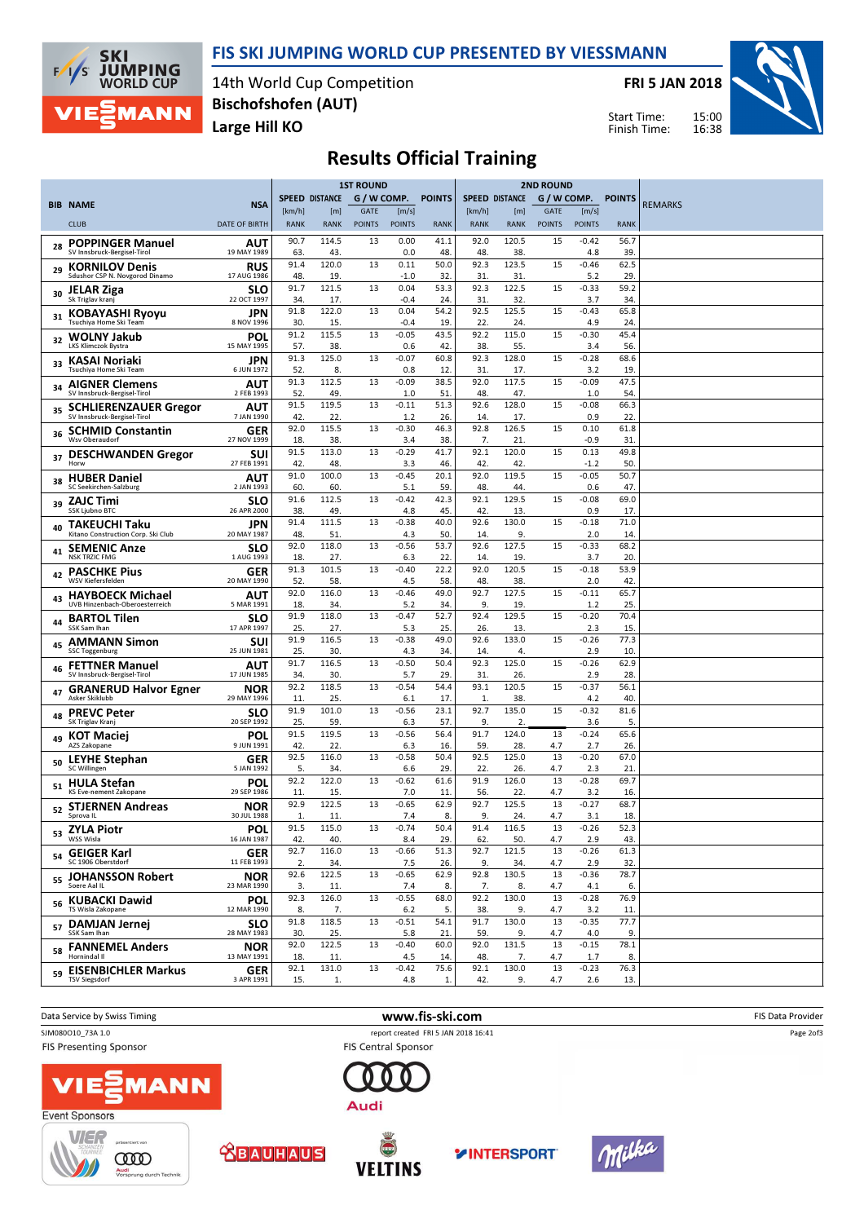### FIS SKI JUMPING WORLD CUP PRESENTED BY VIESSMANN



14th World Cup Competition Large Hill KO Bischofshofen (AUT)

FRI 5 JAN 2018



15:00 16:38 Start Time: Finish Time:

# Results Official Training

|    |                                                             |                           | <b>1ST ROUND</b>      |                    |                              | <b>2ND ROUND</b>       |               |                       |                       |                              |                        |                    |                |
|----|-------------------------------------------------------------|---------------------------|-----------------------|--------------------|------------------------------|------------------------|---------------|-----------------------|-----------------------|------------------------------|------------------------|--------------------|----------------|
|    | <b>BIB NAME</b>                                             | <b>NSA</b>                |                       | SPEED DISTANCE     | G / W COMP.                  |                        | <b>POINTS</b> |                       | <b>SPEED DISTANCE</b> |                              |                        | G / W COMP. POINTS | <b>REMARKS</b> |
|    | <b>CLUB</b>                                                 | <b>DATE OF BIRTH</b>      | [km/h]<br><b>RANK</b> | [m]<br><b>RANK</b> | <b>GATE</b><br><b>POINTS</b> | [m/s]<br><b>POINTS</b> | <b>RANK</b>   | [km/h]<br><b>RANK</b> | [m]<br><b>RANK</b>    | <b>GATE</b><br><b>POINTS</b> | [m/s]<br><b>POINTS</b> | <b>RANK</b>        |                |
| 28 | <b>POPPINGER Manuel</b>                                     | AUT                       | 90.7                  | 114.5              | 13                           | 0.00                   | 41.1          | 92.0                  | 120.5                 | 15                           | $-0.42$                | 56.7               |                |
|    | SV Innsbruck-Bergisel-Tirol<br><b>KORNILOV Denis</b>        | 19 MAY 1989<br><b>RUS</b> | 63<br>91.4            | 43<br>120.0        | 13                           | 0.0<br>0.11            | 48.<br>50.0   | 48.<br>92.3           | 38.<br>123.5          | 15                           | 4.8<br>$-0.46$         | 39.<br>62.5        |                |
| 29 | Sdushor CSP N. Novgorod Dinamo                              | 17 AUG 1986               | 48.                   | 19                 |                              | $-1.0$                 | 32            | 31                    | 31.                   |                              | 5.2                    | 29                 |                |
| 30 | <b>JELAR Ziga</b><br>Sk Triglav kranj                       | <b>SLO</b><br>22 OCT 1997 | 91.7<br>34.           | 121.5<br>17.       | 13                           | 0.04<br>$-0.4$         | 53.3<br>24.   | 92.3<br>31.           | 122.5<br>32.          | 15                           | $-0.33$<br>3.7         | 59.2<br>34.        |                |
| 31 | <b>KOBAYASHI Ryoyu</b><br>Tsuchiya Home Ski Team            | JPN<br>8 NOV 1996         | 91.8<br>30.           | 122.0<br>15.       | 13                           | 0.04<br>$-0.4$         | 54.2<br>19.   | 92.5<br>22.           | 125.5<br>24.          | 15                           | $-0.43$<br>4.9         | 65.8<br>24.        |                |
| 32 | <b>WOLNY Jakub</b>                                          | POL                       | 91.2                  | 115.5              | 13                           | $-0.05$                | 43.5          | 92.2                  | 115.0                 | 15                           | $-0.30$                | 45.4               |                |
|    | <b>LKS Klimczok Bystra</b><br>KASAI Noriaki                 | 15 MAY 1995<br>JPN        | 57.<br>91.3           | 38.<br>125.0       | 13                           | 0.6<br>$-0.07$         | 42.<br>60.8   | 38.<br>92.3           | 55.<br>128.0          | 15                           | 3.4<br>$-0.28$         | 56.<br>68.6        |                |
| 33 | Tsuchiva Home Ski Team                                      | 6 JUN 1972                | 52.                   | 8.                 |                              | 0.8                    | 12.           | 31.                   | 17.                   |                              | 3.2                    | 19.                |                |
| 34 | <b>AIGNER Clemens</b><br>SV Innsbruck-Bergisel-Tirol        | AUT<br>2 FEB 1993         | 91.3<br>52.           | 112.5<br>49.       | 13                           | $-0.09$<br>1.0         | 38.5<br>51    | 92.0<br>48.           | 117.5<br>47.          | 15                           | $-0.09$<br>1.0         | 47.5<br>54.        |                |
| 35 | <b>SCHLIERENZAUER Gregor</b><br>SV Innsbruck-Bergisel-Tirol | AUT<br>7 JAN 1990         | 91.5<br>42            | 119.5<br>22.       | 13                           | $-0.11$<br>1.2         | 51.3<br>26.   | 92.6<br>14.           | 128.0<br>17.          | 15                           | $-0.08$<br>0.9         | 66.3<br>22         |                |
| 36 | <b>SCHMID Constantin</b>                                    | GER<br>27 NOV 1999        | 92.0                  | 115.5              | 13                           | $-0.30$                | 46.3          | 92.8                  | 126.5                 | 15                           | 0.10                   | 61.8               |                |
| 37 | Wsv Oberaudorf<br><b>DESCHWANDEN Gregor</b>                 | SUI                       | 18<br>91.5            | 38.<br>113.0       | 13                           | 3.4<br>$-0.29$         | 38.<br>41.7   | 7.<br>92.1            | 21<br>120.0           | 15                           | $-0.9$<br>0.13         | 31<br>49.8         |                |
|    | Horw                                                        | 27 FEB 1991               | 42.<br>91.0           | 48.<br>100.0       | 13                           | 3.3<br>$-0.45$         | 46.<br>20.1   | 42.<br>92.0           | 42.<br>119.5          | 15                           | $-1.2$<br>$-0.05$      | 50.<br>50.7        |                |
| 38 | <b>HUBER Daniel</b><br>SC Seekirchen-Salzburg               | AUT<br>2 JAN 1993         | 60.                   | 60.                |                              | 5.1                    | 59.           | 48.                   | 44.                   |                              | 0.6                    | 47                 |                |
| 39 | <b>ZAJC Timi</b><br>SSK Ljubno BTC                          | <b>SLO</b><br>26 APR 2000 | 91.6<br>38            | 112.5<br>49.       | 13                           | $-0.42$<br>4.8         | 42.3<br>45.   | 92.1<br>42.           | 129.5<br>13.          | 15                           | $-0.08$<br>0.9         | 69.0<br>17.        |                |
| 40 | TAKEUCHI Taku<br>Kitano Construction Corp. Ski Club         | JPN<br>20 MAY 1987        | 91.4<br>48            | 111.5<br>51        | 13                           | $-0.38$<br>4.3         | 40.0<br>50.   | 92.6<br>14.           | 130.0<br>9.           | 15                           | $-0.18$<br>2.0         | 71.0<br>14.        |                |
| 41 | <b>SEMENIC Anze</b>                                         | <b>SLO</b>                | 92.0                  | 118.0              | 13                           | $-0.56$                | 53.7          | 92.6                  | 127.5                 | 15                           | $-0.33$                | 68.2               |                |
|    | <b>NSK TRZIC FMG</b><br><b>PASCHKE Pius</b>                 | 1 AUG 1993<br>GER         | 18.<br>91.3           | 27.<br>101.5       | 13                           | 6.3<br>$-0.40$         | 22.<br>22.2   | 14.<br>92.0           | 19.<br>120.5          | 15                           | 3.7<br>$-0.18$         | 20.<br>53.9        |                |
| 42 | WSV Kiefersfelden                                           | 20 MAY 1990               | 52.<br>92.0           | 58.<br>116.0       | 13                           | 4.5<br>$-0.46$         | 58.<br>49.0   | 48.<br>92.7           | 38.<br>127.5          | 15                           | 2.0<br>$-0.11$         | 42<br>65.7         |                |
| 43 | <b>HAYBOECK Michael</b><br>UVB Hinzenbach-Oberoesterreich   | AUT<br>5 MAR 1991         | 18                    | 34.                |                              | 5.2                    | 34.           | 9.                    | 19.                   |                              | 1.2                    | 25.                |                |
| 44 | <b>BARTOL Tilen</b><br>SSK Sam Ihan                         | SLO<br>17 APR 1997        | 91.9<br>25.           | 118.0<br>27.       | 13                           | $-0.47$<br>5.3         | 52.7<br>25.   | 92.4<br>26.           | 129.5<br>13.          | 15                           | $-0.20$<br>2.3         | 70.4<br>15.        |                |
| 45 | <b>AMMANN Simon</b><br><b>SSC Toggenburg</b>                | SUI<br>25 JUN 1981        | 91.9                  | 116.5              | 13                           | $-0.38$                | 49.0<br>34.   | 92.6                  | 133.0<br>4.           | 15                           | $-0.26$                | 77.3               |                |
| 46 | <b>FETTNER Manuel</b>                                       | AUT                       | 25.<br>91.7           | 30.<br>116.5       | 13                           | 4.3<br>$-0.50$         | 50.4          | 14.<br>92.3           | 125.0                 | 15                           | 2.9<br>$-0.26$         | 10.<br>62.9        |                |
|    | SV Innsbruck-Bergisel-Tirol<br><b>GRANERUD Halvor Egner</b> | 17 JUN 1985<br><b>NOR</b> | 34.<br>92.2           | 30.<br>118.5       | 13                           | 5.7<br>$-0.54$         | 29.<br>54.4   | 31.<br>93.1           | 26.<br>120.5          | 15                           | 2.9<br>$-0.37$         | 28.<br>56.1        |                |
| 47 | Asker Skiklubb                                              | 29 MAY 1996               | 11.                   | 25.                |                              | 6.1                    | 17.           | 1.                    | 38.                   |                              | 4.2                    | 40.                |                |
| 48 | <b>PREVC Peter</b><br>SK Triglav Kranj                      | <b>SLO</b><br>20 SEP 1992 | 91.9<br>25            | 101.0<br>59.       | 13                           | $-0.56$<br>6.3         | 23.1<br>57.   | 92.7<br>9.            | 135.0<br>2.           | 15                           | $-0.32$<br>3.6         | 81.6<br>5.         |                |
| 49 | <b>KOT Maciej</b><br>AZS Zakopane                           | POL<br>9 JUN 1991         | 91.5<br>42            | 119.5<br>22.       | 13                           | $-0.56$<br>6.3         | 56.4<br>16.   | 91.7<br>59.           | 124.0<br>28.          | 13<br>4.7                    | $-0.24$<br>2.7         | 65.6<br>26.        |                |
| 50 | <b>LEYHE Stephan</b><br>SC Willingen                        | GER<br>5 JAN 1992         | 92.5                  | 116.0              | 13                           | $-0.58$                | 50.4          | 92.5                  | 125.0                 | 13                           | $-0.20$                | 67.0               |                |
| 51 | <b>HULA Stefan</b>                                          | POL                       | 5.<br>92.2            | 34.<br>122.0       | 13                           | 6.6<br>$-0.62$         | 29.<br>61.6   | 22.<br>91.9           | 26.<br>126.0          | 4.7<br>13                    | 2.3<br>$-0.28$         | 21<br>69.7         |                |
|    | KS Eve-nement Zakopane                                      | 29 SEP 1986<br><b>NOR</b> | 11.<br>92.9           | 15.<br>122.5       | 13                           | 7.0<br>$-0.65$         | 11.<br>62.9   | 56.<br>92.7           | 22.<br>125.5          | 4.7<br>13                    | 3.2<br>$-0.27$         | 16.<br>68.7        |                |
| 52 | <b>STJERNEN Andreas</b><br>Sprova IL                        | 30 JUL 1988               | 1.                    | 11                 |                              | 7.4                    | 8.            | 9.                    | 24.                   | 4.7                          | 3.1                    | 18.                |                |
| 53 | <b>ZYLA Piotr</b><br>WSS Wisla                              | POL<br>16 JAN 1987        | 91.5<br>42.           | 115.0<br>40.       | 13                           | $-0.74$<br>8.4         | 50.4<br>29.   | 91.4<br>62.           | 116.5<br>50.          | 13<br>4.7                    | $-0.26$<br>2.9         | 52.3<br>43.        |                |
| 54 | <b>GEIGER Karl</b><br>SC 1906 Oberstdorf                    | <b>GER</b><br>11 FEB 1993 | 92.7<br>2.            | 116.0<br>34.       | 13                           | $-0.66$<br>7.5         | 51.3<br>26.   | 92.7<br>9.            | 121.5<br>34.          | 13<br>4.7                    | $-0.26$<br>2.9         | 61.3<br>32.        |                |
| 55 | <b>JOHANSSON Robert</b>                                     | <b>NOR</b>                | 92.6                  | 122.5              | 13                           | $-0.65$                | 62.9          | 92.8                  | 130.5                 | 13                           | $-0.36$                | 78.7               |                |
|    | Soere Aal IL<br>56 KUBACKI Dawid                            | 23 MAR 1990<br><b>POL</b> | 3.<br>92.3            | 11.<br>126.0       | 13                           | 7.4<br>$-0.55$         | 8.<br>68.0    | 7.<br>92.2            | 8.<br>130.0           | 4.7<br>13                    | 4.1<br>$-0.28$         | 6.<br>76.9         |                |
|    | TS Wisla Zakopane                                           | 12 MAR 1990               | 8.<br>91.8            | 7.<br>118.5        | 13                           | 6.2<br>$-0.51$         | 5.<br>54.1    | 38.<br>91.7           | 9.<br>130.0           | 4.7<br>13                    | 3.2<br>$-0.35$         | 11.<br>77.7        |                |
| 57 | <b>DAMJAN Jernej</b><br>SSK Sam Ihan                        | <b>SLO</b><br>28 MAY 1983 | 30.                   | 25.                |                              | 5.8                    | 21.           | 59.                   | 9.                    | 4.7                          | 4.0                    | 9.                 |                |
|    | <sub>58</sub> FANNEMEL Anders<br>Hornindal II               | <b>NOR</b><br>13 MAY 1991 | 92.0<br>18.           | 122.5<br>11.       | 13                           | $-0.40$<br>4.5         | 60.0<br>14.   | 92.0<br>48.           | 131.5<br>7.           | 13<br>4.7                    | $-0.15$<br>1.7         | 78.1<br>8.         |                |
|    | 59 EISENBICHLER Markus<br><b>TSV Siegsdorf</b>              | <b>GER</b><br>3 APR 1991  | 92.1<br>15.           | 131.0<br>1.        | 13                           | $-0.42$<br>4.8         | 75.6<br>1.    | 92.1<br>42.           | 130.0<br>9.           | 13<br>4.7                    | $-0.23$<br>2.6         | 76.3<br>13.        |                |